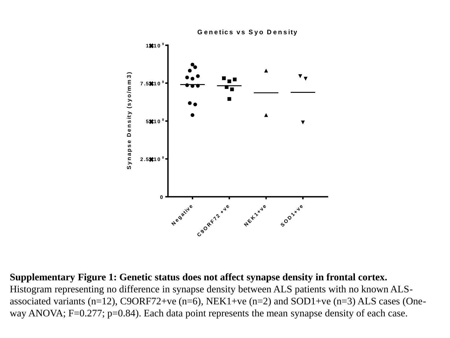

**Supplementary Figure 1: Genetic status does not affect synapse density in frontal cortex.** Histogram representing no difference in synapse density between ALS patients with no known ALSassociated variants (n=12), C9ORF72+ve (n=6), NEK1+ve (n=2) and SOD1+ve (n=3) ALS cases (Oneway ANOVA; F=0.277; p=0.84). Each data point represents the mean synapse density of each case.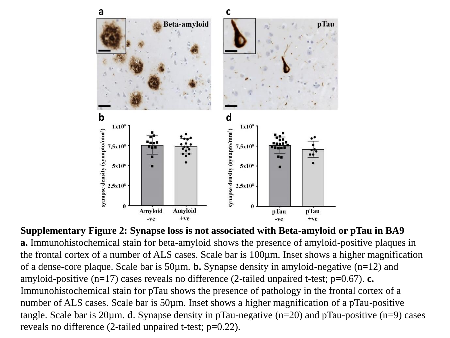

**Supplementary Figure 2: Synapse loss is not associated with Beta-amyloid or pTau in BA9 a.** Immunohistochemical stain for beta-amyloid shows the presence of amyloid-positive plaques in the frontal cortex of a number of ALS cases. Scale bar is 100µm. Inset shows a higher magnification of a dense-core plaque. Scale bar is 50µm. **b.** Synapse density in amyloid-negative (n=12) and amyloid-positive (n=17) cases reveals no difference (2-tailed unpaired t-test; p=0.67). **c.** Immunohistochemical stain for pTau shows the presence of pathology in the frontal cortex of a number of ALS cases. Scale bar is 50µm. Inset shows a higher magnification of a pTau-positive tangle. Scale bar is 20µm. **d**. Synapse density in pTau-negative (n=20) and pTau-positive (n=9) cases reveals no difference (2-tailed unpaired t-test; p=0.22).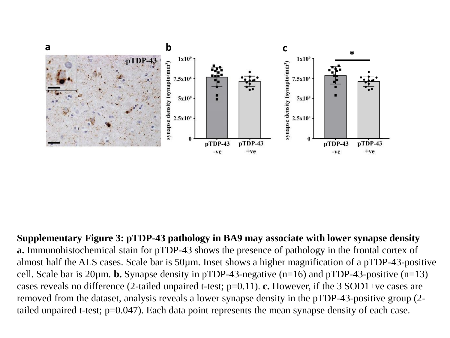

**Supplementary Figure 3: pTDP-43 pathology in BA9 may associate with lower synapse density a.** Immunohistochemical stain for pTDP-43 shows the presence of pathology in the frontal cortex of almost half the ALS cases. Scale bar is 50µm. Inset shows a higher magnification of a pTDP-43-positive cell. Scale bar is 20µm. **b.** Synapse density in pTDP-43-negative (n=16) and pTDP-43-positive (n=13) cases reveals no difference (2-tailed unpaired t-test; p=0.11). **c.** However, if the 3 SOD1+ve cases are removed from the dataset, analysis reveals a lower synapse density in the pTDP-43-positive group (2 tailed unpaired t-test; p=0.047). Each data point represents the mean synapse density of each case.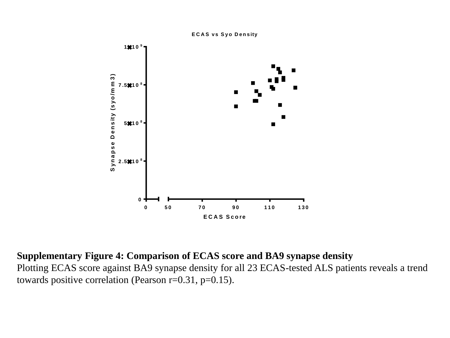

## **Supplementary Figure 4: Comparison of ECAS score and BA9 synapse density**

Plotting ECAS score against BA9 synapse density for all 23 ECAS-tested ALS patients reveals a trend towards positive correlation (Pearson r=0.31, p=0.15).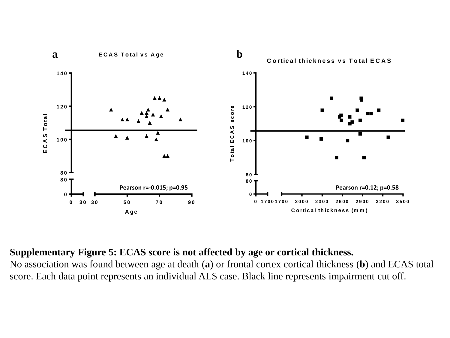

## **Supplementary Figure 5: ECAS score is not affected by age or cortical thickness.**

No association was found between age at death (**a**) or frontal cortex cortical thickness (**b**) and ECAS total score. Each data point represents an individual ALS case. Black line represents impairment cut off.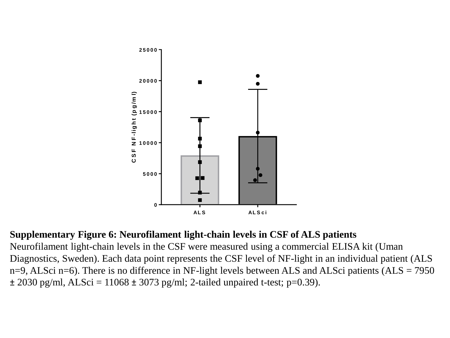

## **Supplementary Figure 6: Neurofilament light-chain levels in CSF of ALS patients**

Neurofilament light-chain levels in the CSF were measured using a commercial ELISA kit (Uman Diagnostics, Sweden). Each data point represents the CSF level of NF-light in an individual patient (ALS n=9, ALSci n=6). There is no difference in NF-light levels between ALS and ALSci patients (ALS = 7950  $\pm$  2030 pg/ml, ALSci = 11068  $\pm$  3073 pg/ml; 2-tailed unpaired t-test; p=0.39).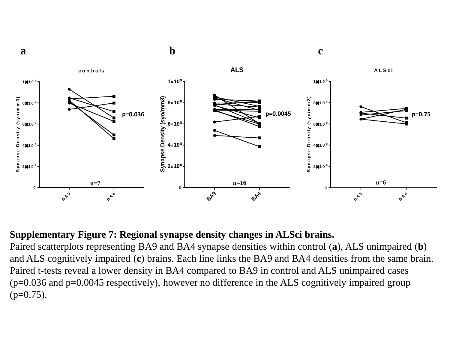

## **Supplementary Figure 7: Regional synapse density changes in ALSci brains.**

Paired scatterplots representing BA9 and BA4 synapse densities within control (**a**), ALS unimpaired (**b**) and ALS cognitively impaired (**c**) brains. Each line links the BA9 and BA4 densities from the same brain. Paired t-tests reveal a lower density in BA4 compared to BA9 in control and ALS unimpaired cases (p=0.036 and p=0.0045 respectively), however no difference in the ALS cognitively impaired group  $(p=0.75)$ .